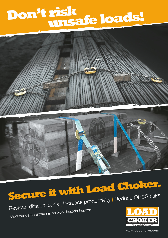## Don't risk<br>unsafe loads!



Secure it with Load Choker. Restrain difficult loads | Increase productivity | Reduce OH&S risks

View our demonstrations on www.loadchoker.com



www.loadchoker.com